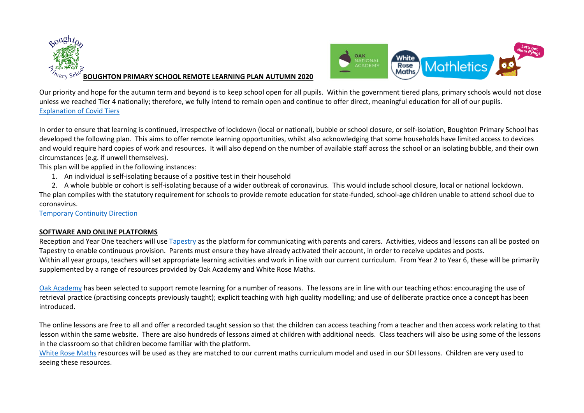



Our priority and hope for the autumn term and beyond is to keep school open for all pupils. Within the government tiered plans, primary schools would not close unless we reached Tier 4 nationally; therefore, we fully intend to remain open and continue to offer direct, meaningful education for all of our pupils. [Explanation of Covid Tiers](https://www.gov.uk/guidance/local-covid-alert-levels-what-you-need-to-know)

In order to ensure that learning is continued, irrespective of lockdown (local or national), bubble or school closure, or self-isolation, Boughton Primary School has developed the following plan. This aims to offer remote learning opportunities, whilst also acknowledging that some households have limited access to devices and would require hard copies of work and resources. It will also depend on the number of available staff across the school or an isolating bubble, and their own circumstances (e.g. if unwell themselves).

This plan will be applied in the following instances:

- 1. An individual is self-isolating because of a positive test in their household
- 2. A whole bubble or cohort is self-isolating because of a wider outbreak of coronavirus. This would include school closure, local or national lockdown.

The plan complies with the statutory requirement for schools to provide remote education for state-funded, school-age children unable to attend school due to coronavirus.

[Temporary Continuity Direction](https://assets.publishing.service.gov.uk/government/uploads/system/uploads/attachment_data/file/923539/Remote_Education_Temporary_Continuity_Direction_-__Explanatory_Note.pdf)

## **SOFTWARE AND ONLINE PLATFORMS**

Reception and Year One teachers will use [Tapestry](https://eylj.org/) as the platform for communicating with parents and carers. Activities, videos and lessons can all be posted on Tapestry to enable continuous provision. Parents must ensure they have already activated their account, in order to receive updates and posts. Within all year groups, teachers will set appropriate learning activities and work in line with our current curriculum. From Year 2 to Year 6, these will be primarily supplemented by a range of resources provided by Oak Academy and White Rose Maths.

[Oak Academy](https://www.thenational.academy/) has been selected to support remote learning for a number of reasons. The lessons are in line with our teaching ethos: encouraging the use of retrieval practice (practising concepts previously taught); explicit teaching with high quality modelling; and use of deliberate practice once a concept has been introduced.

The online lessons are free to all and offer a recorded taught session so that the children can access teaching from a teacher and then access work relating to that lesson within the same website. There are also hundreds of lessons aimed at children with additional needs. Class teachers will also be using some of the lessons in the classroom so that children become familiar with the platform.

[White Rose Maths](https://whiterosemaths.com/) resources will be used as they are matched to our current maths curriculum model and used in our SDI lessons. Children are very used to seeing these resources.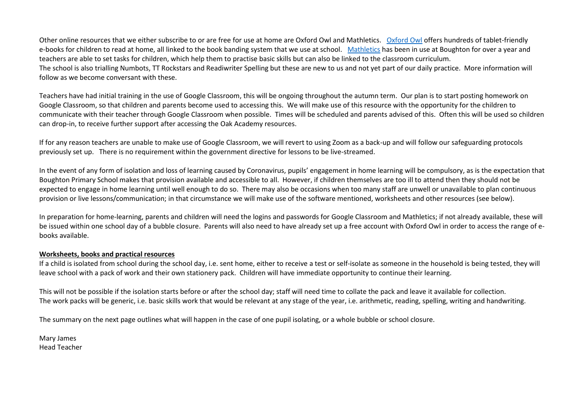Other online resources that we either subscribe to or are free for use at home are Oxford Owl and Mathletics. [Oxford Owl](https://home.oxfordowl.co.uk/reading/free-ebooks/) offers hundreds of tablet-friendly e-books for children to read at home, all linked to the book banding system that we use at school. [Mathletics](https://www.mathletics.com/uk/) has been in use at Boughton for over a year and teachers are able to set tasks for children, which help them to practise basic skills but can also be linked to the classroom curriculum. The school is also trialling Numbots, TT Rockstars and Readiwriter Spelling but these are new to us and not yet part of our daily practice. More information will follow as we become conversant with these.

Teachers have had initial training in the use of Google Classroom, this will be ongoing throughout the autumn term. Our plan is to start posting homework on Google Classroom, so that children and parents become used to accessing this. We will make use of this resource with the opportunity for the children to communicate with their teacher through Google Classroom when possible. Times will be scheduled and parents advised of this. Often this will be used so children can drop-in, to receive further support after accessing the Oak Academy resources.

If for any reason teachers are unable to make use of Google Classroom, we will revert to using Zoom as a back-up and will follow our safeguarding protocols previously set up. There is no requirement within the government directive for lessons to be live-streamed.

In the event of any form of isolation and loss of learning caused by Coronavirus, pupils' engagement in home learning will be compulsory, as is the expectation that Boughton Primary School makes that provision available and accessible to all. However, if children themselves are too ill to attend then they should not be expected to engage in home learning until well enough to do so. There may also be occasions when too many staff are unwell or unavailable to plan continuous provision or live lessons/communication; in that circumstance we will make use of the software mentioned, worksheets and other resources (see below).

In preparation for home-learning, parents and children will need the logins and passwords for Google Classroom and Mathletics; if not already available, these will be issued within one school day of a bubble closure. Parents will also need to have already set up a free account with Oxford Owl in order to access the range of ebooks available.

## **Worksheets, books and practical resources**

If a child is isolated from school during the school day, i.e. sent home, either to receive a test or self-isolate as someone in the household is being tested, they will leave school with a pack of work and their own stationery pack. Children will have immediate opportunity to continue their learning.

This will not be possible if the isolation starts before or after the school day; staff will need time to collate the pack and leave it available for collection. The work packs will be generic, i.e. basic skills work that would be relevant at any stage of the year, i.e. arithmetic, reading, spelling, writing and handwriting.

The summary on the next page outlines what will happen in the case of one pupil isolating, or a whole bubble or school closure.

Mary James Head Teacher